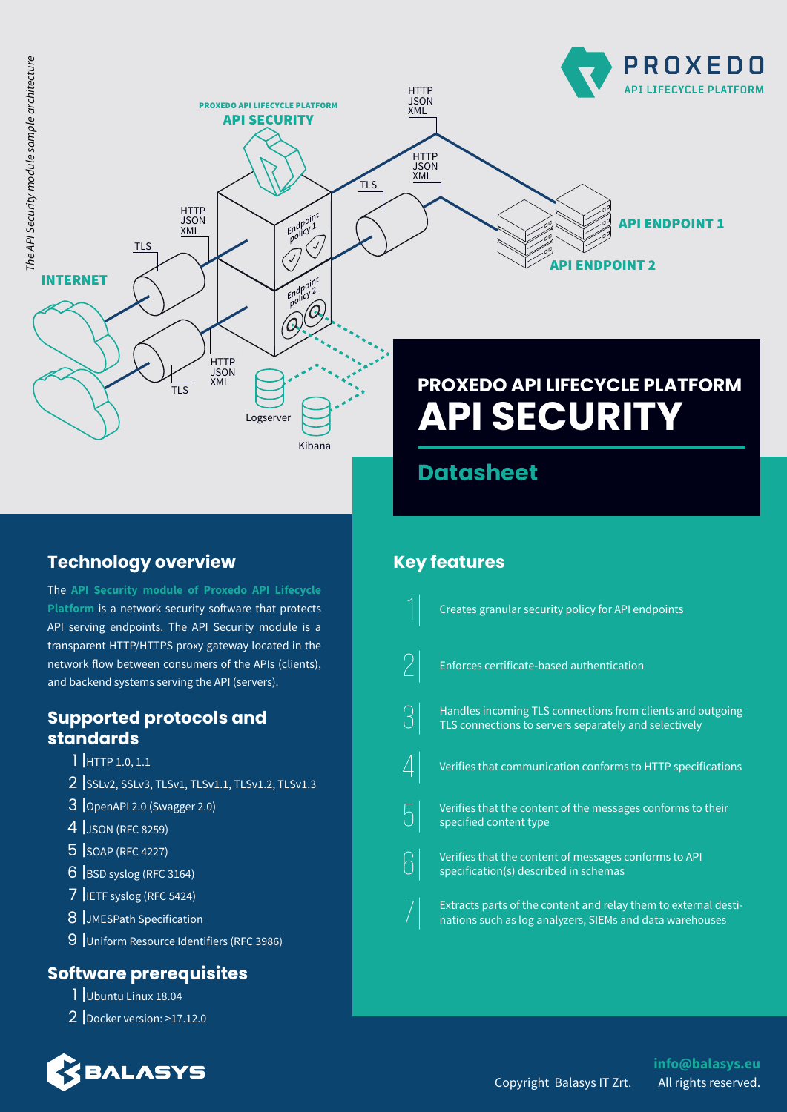

Kibana

# **Datasheet**

# **Technology overview**

The **API Security module of Proxedo API Lifecycle Platform** is a network security software that protects API serving endpoints. The API Security module is a transparent HTTP/HTTPS proxy gateway located in the network flow between consumers of the APIs (clients), and backend systems serving the API (servers).

## **Supported protocols and standards**

- 1 |HTTP 1.0, 1.1
- 2 |SSLv2, SSLv3, TLSv1, TLSv1.1, TLSv1.2, TLSv1.3
- 3 |OpenAPI 2.0 (Swagger 2.0)
- 4 |JSON (RFC 8259)
- 5 |SOAP (RFC 4227)
- 6 |BSD syslog (RFC 3164)
- 7 |IETF syslog (RFC 5424)
- 8 |JMESPath Specification
- 9 |Uniform Resource Identifiers (RFC 3986)

## **Software prerequisites**

- 1 |Ubuntu Linux 18.04
- 2 |Docker version: >17.12.0



# **Key features**



## **info@balasys.eu** Copyright Balasys IT Zrt. All rights reserved.